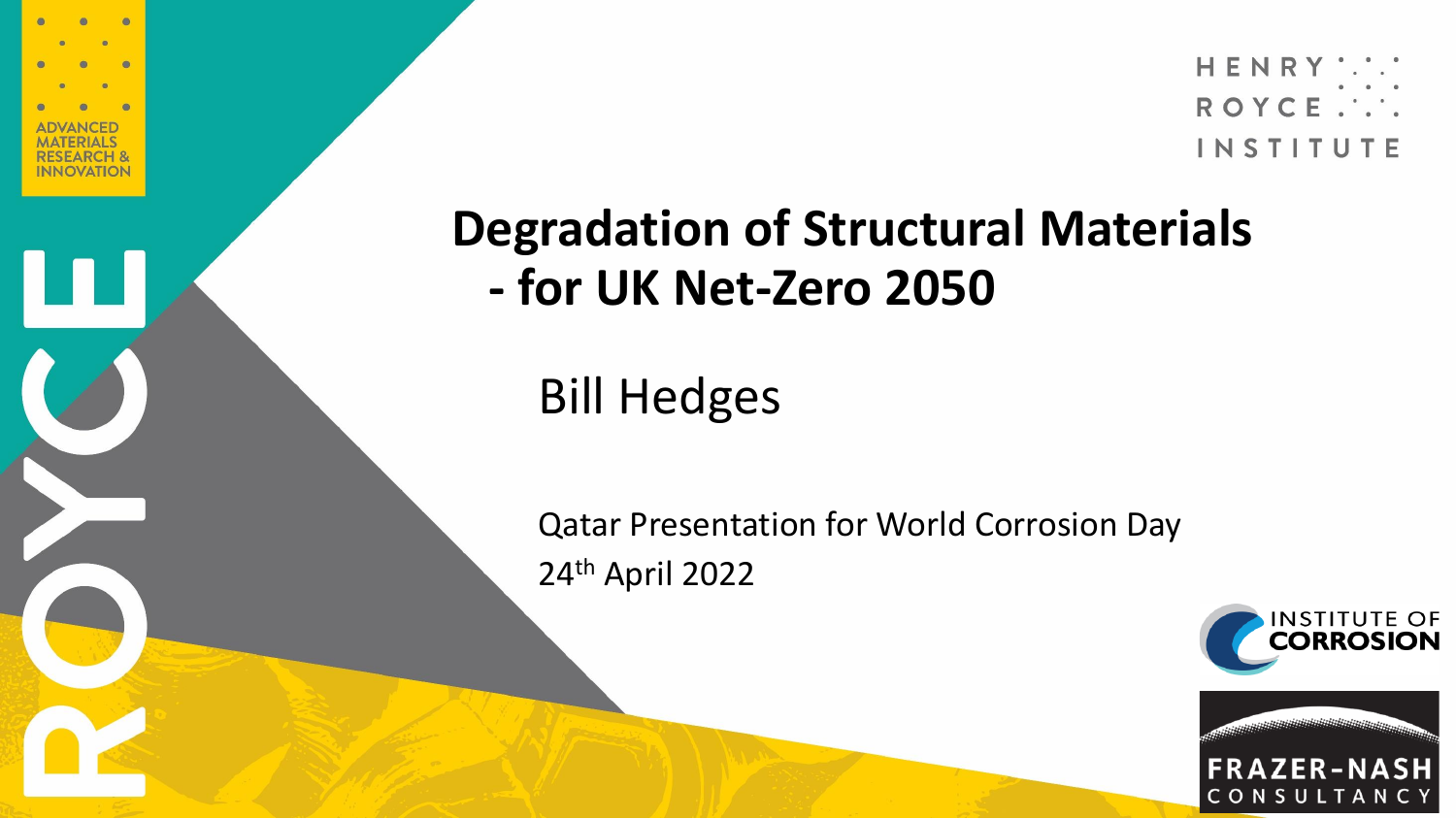

### **Degradation of Structural Materials - for UK Net-Zero 2050**

Bill Hedges

Qatar Presentation for World Corrosion Day 24th April 2022

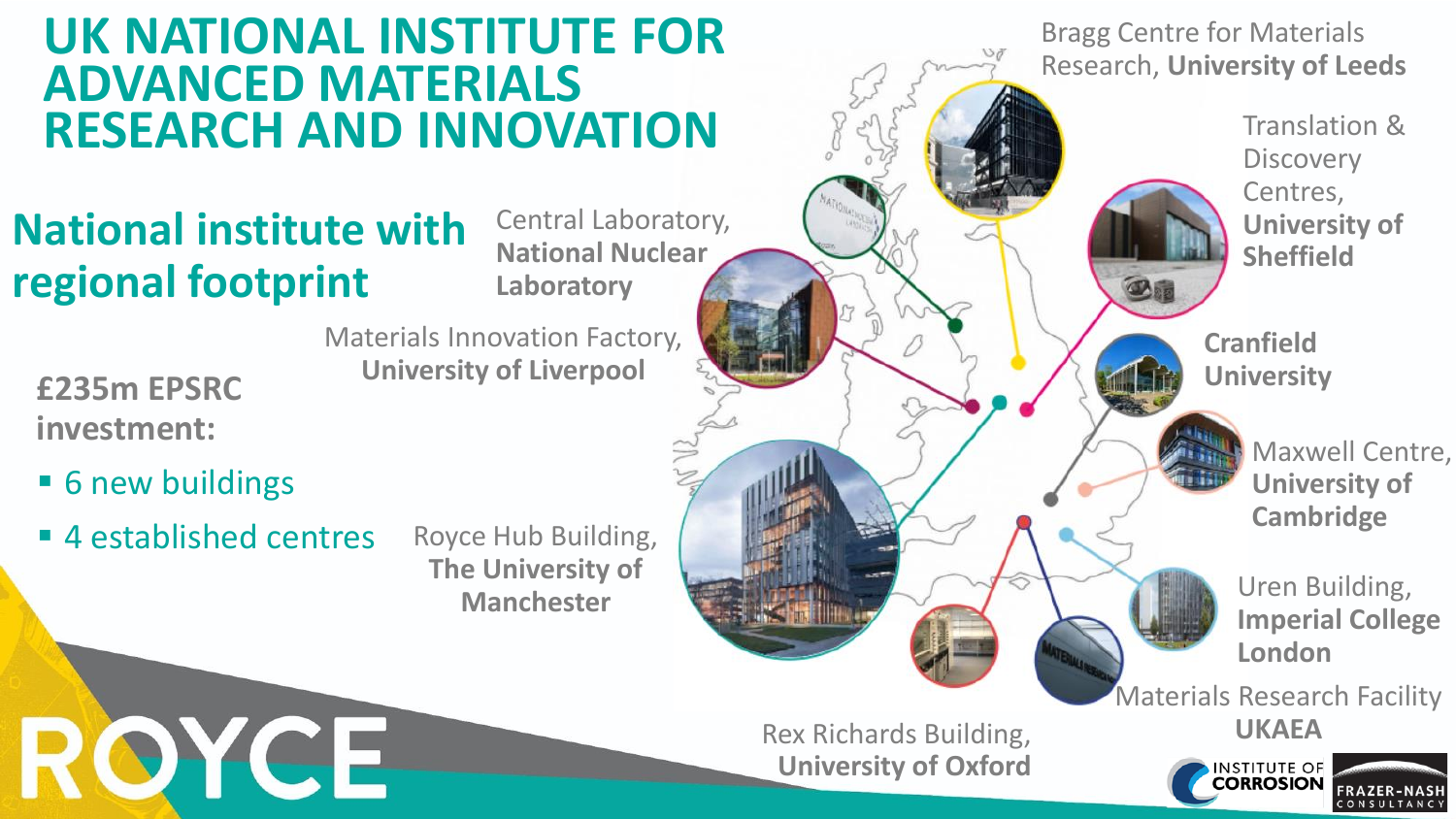#### **UK NATIONAL INSTITUTE FOR ADVANCED MATERIALS RESEARCH AND INNOVATION**

#### **National institute with regional footprint**

Central Laboratory, **National Nuclear Laboratory**

Rex Richards Building,

**University of Oxford**

**£235m EPSRC investment:**

- 6 new buildings
- 4 established centres

ROYCE

Royce Hub Building, **The University of Manchester**

Materials Innovation Factory,

**University of Liverpool**

Bragg Centre for Materials Research, **University of Leeds**

> Translation & **Discovery** Centres, **University of Sheffield**

**Cranfield University** 

> Maxwell Centre, **University of Cambridge**

Uren Building, **Imperial College London**

Materials Research Facility **UKAEA**

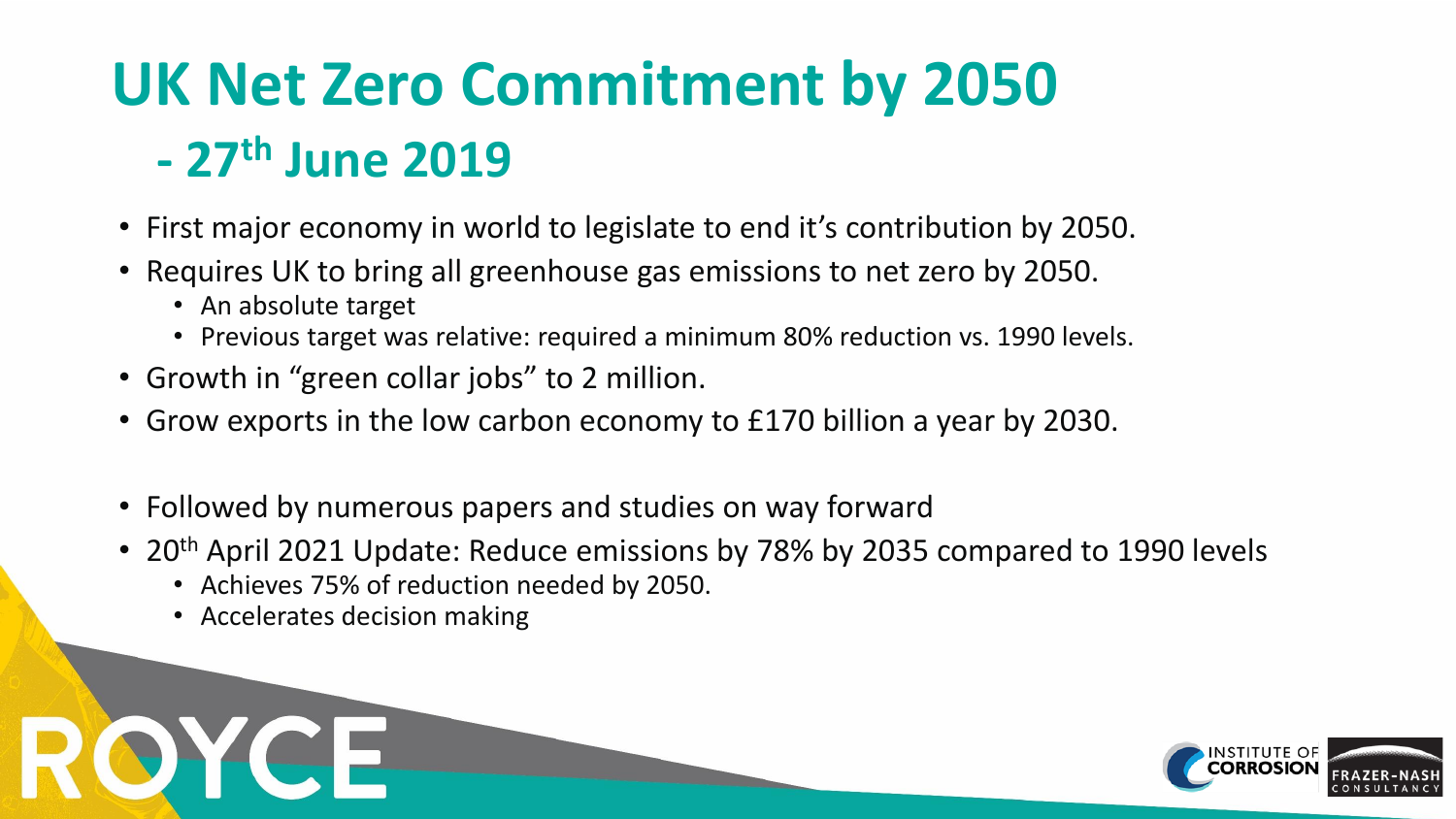# **UK Net Zero Commitment by 2050 - 27th June 2019**

- First major economy in world to legislate to end it's contribution by 2050.
- Requires UK to bring all greenhouse gas emissions to net zero by 2050.
	- An absolute target
	- Previous target was relative: required a minimum 80% reduction vs. 1990 levels.
- Growth in "green collar jobs" to 2 million.
- Grow exports in the low carbon economy to £170 billion a year by 2030.
- Followed by numerous papers and studies on way forward
- 20<sup>th</sup> April 2021 Update: Reduce emissions by 78% by 2035 compared to 1990 levels
	- Achieves 75% of reduction needed by 2050.
	- Accelerates decision making

OYCE

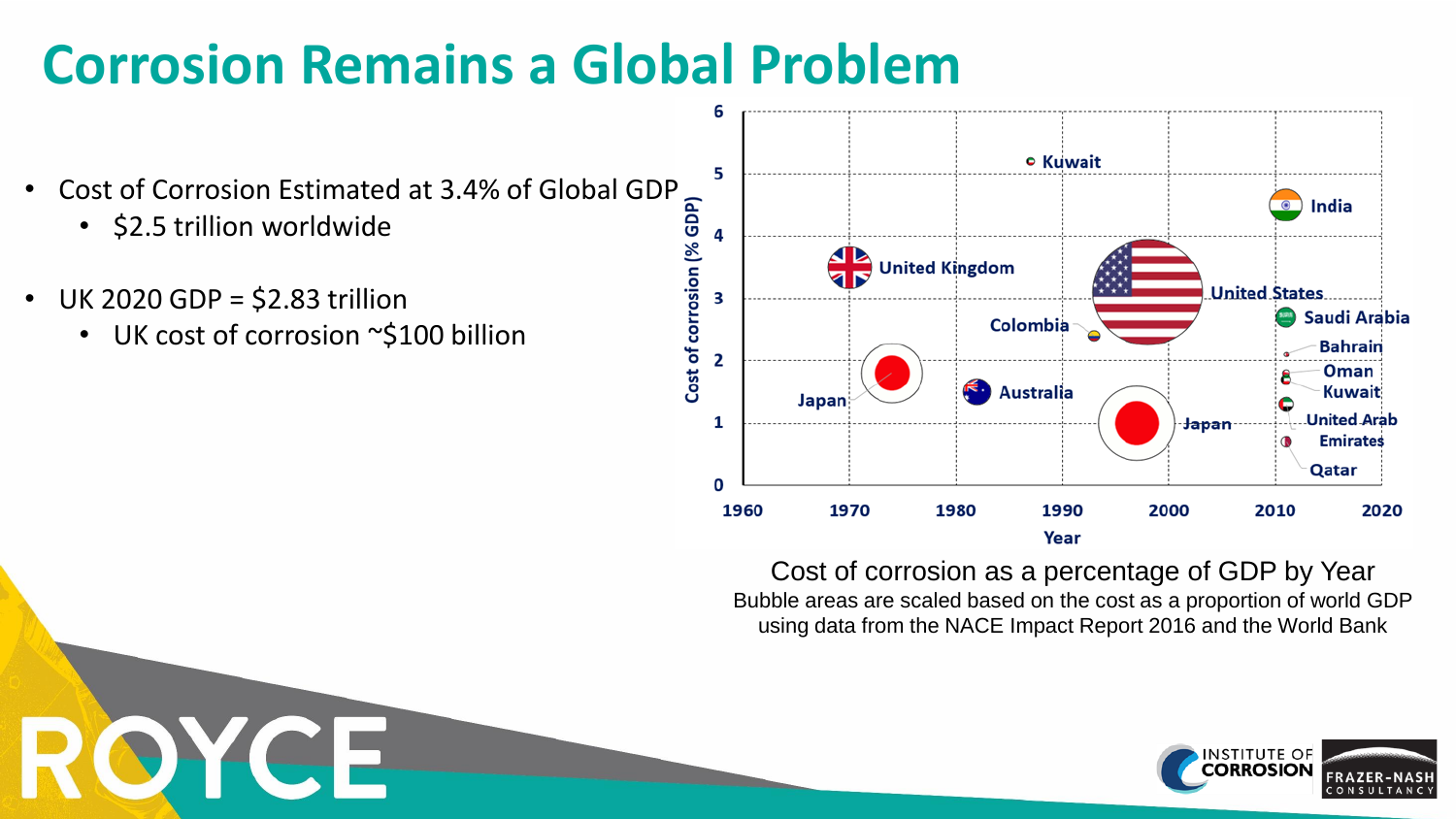## **Corrosion Remains a Global Problem**

- Cost of Corrosion Estimated at 3.4% of Global GDP
	- \$2.5 trillion worldwide

OYCE

- UK 2020 GDP = \$2.83 trillion
	- UK cost of corrosion ~\$100 billion



Cost of corrosion as a percentage of GDP by Year Bubble areas are scaled based on the cost as a proportion of world GDP using data from the NACE Impact Report 2016 and the World Bank

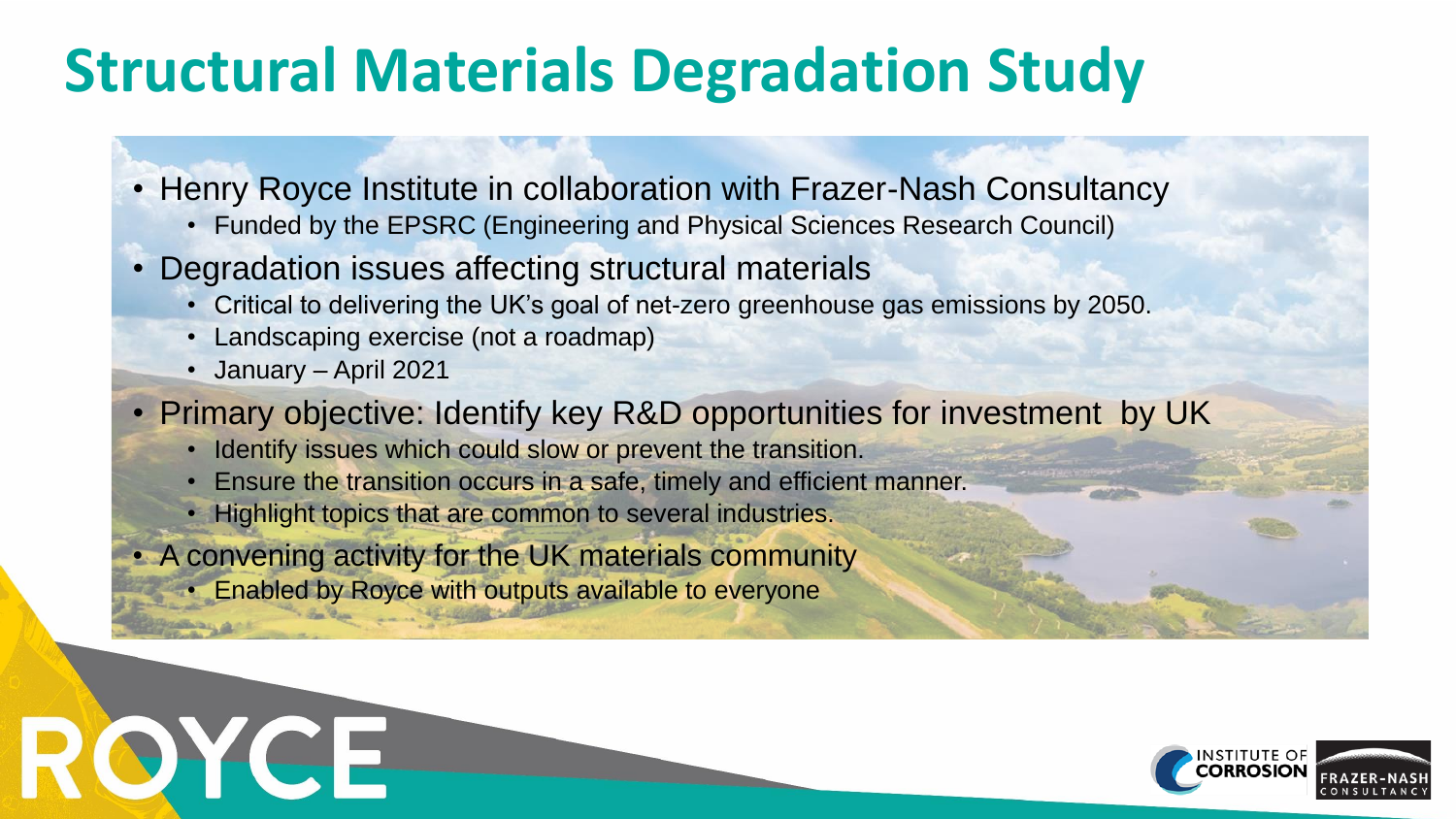## **Structural Materials Degradation Study**

- Henry Royce Institute in collaboration with Frazer-Nash Consultancy
	- Funded by the EPSRC (Engineering and Physical Sciences Research Council)
- Degradation issues affecting structural materials
	- Critical to delivering the UK's goal of net-zero greenhouse gas emissions by 2050.
	- Landscaping exercise (not a roadmap)
	- January April 2021

ROYGE

- Primary objective: Identify key R&D opportunities for investment by UK
	- Identify issues which could slow or prevent the transition.
	- Ensure the transition occurs in a safe, timely and efficient manner.
	- Highlight topics that are common to several industries.
- A convening activity for the UK materials community
	- Enabled by Royce with outputs available to everyone

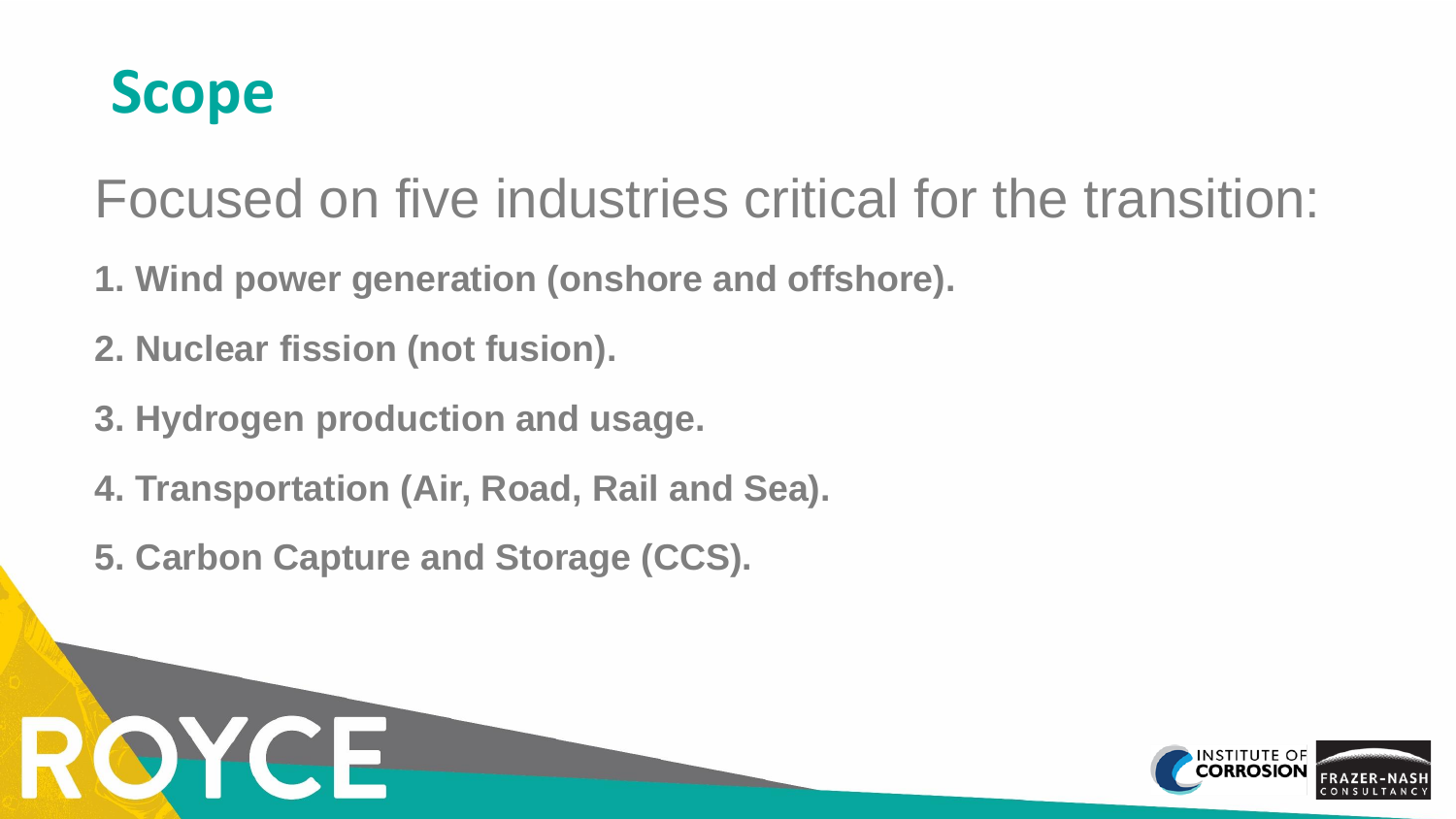

OYCE

Focused on five industries critical for the transition:

- **1. Wind power generation (onshore and offshore).**
- **2. Nuclear fission (not fusion).**
- **3. Hydrogen production and usage.**
- **4. Transportation (Air, Road, Rail and Sea).**
- **5. Carbon Capture and Storage (CCS).**

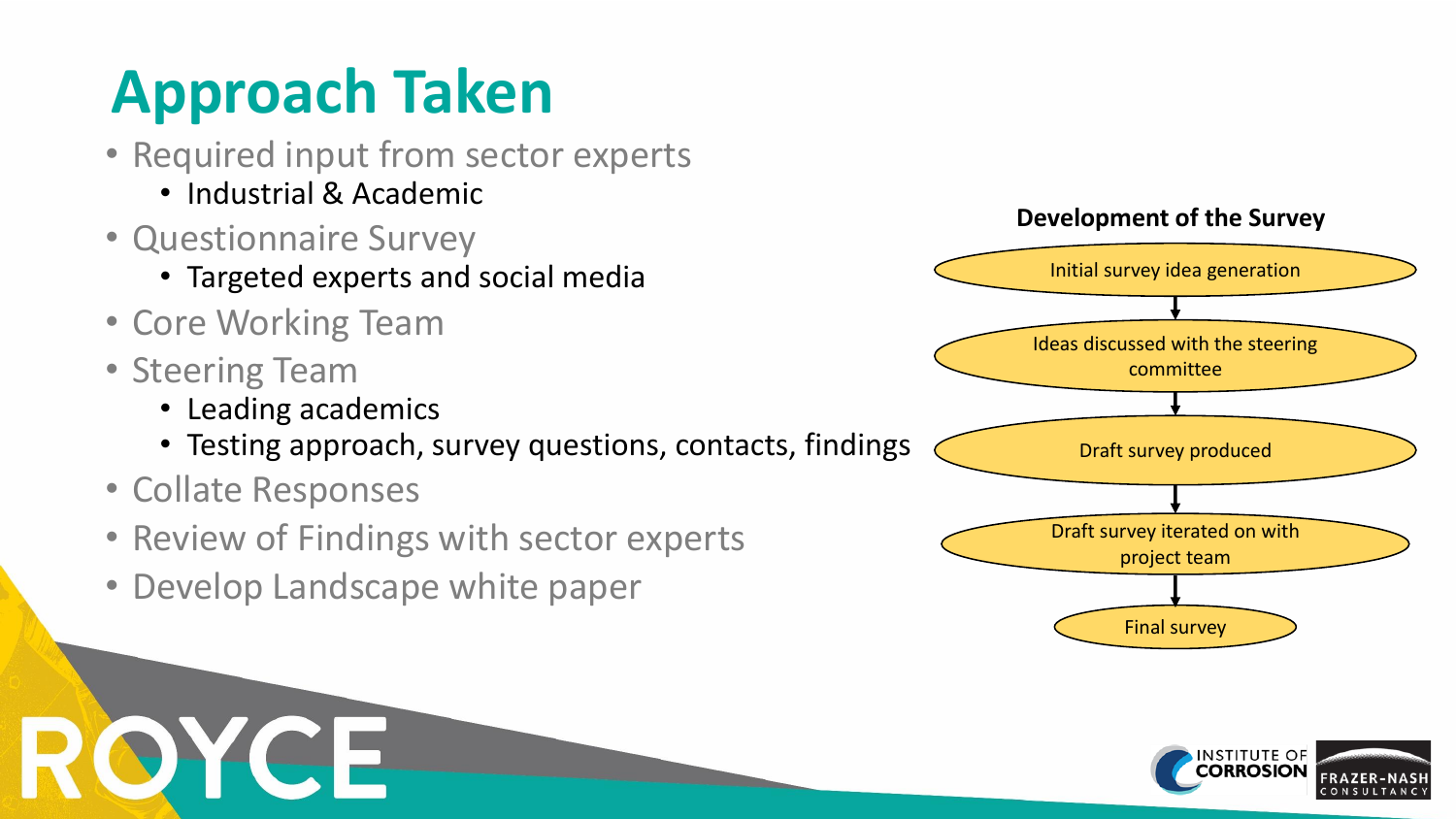# **Approach Taken**

- Required input from sector experts • Industrial & Academic
- Questionnaire Survey
	- Targeted experts and social media
- Core Working Team
- Steering Team

OYCE

- Leading academics
- Testing approach, survey questions, contacts, findings
- Collate Responses
- Review of Findings with sector experts
- Develop Landscape white paper



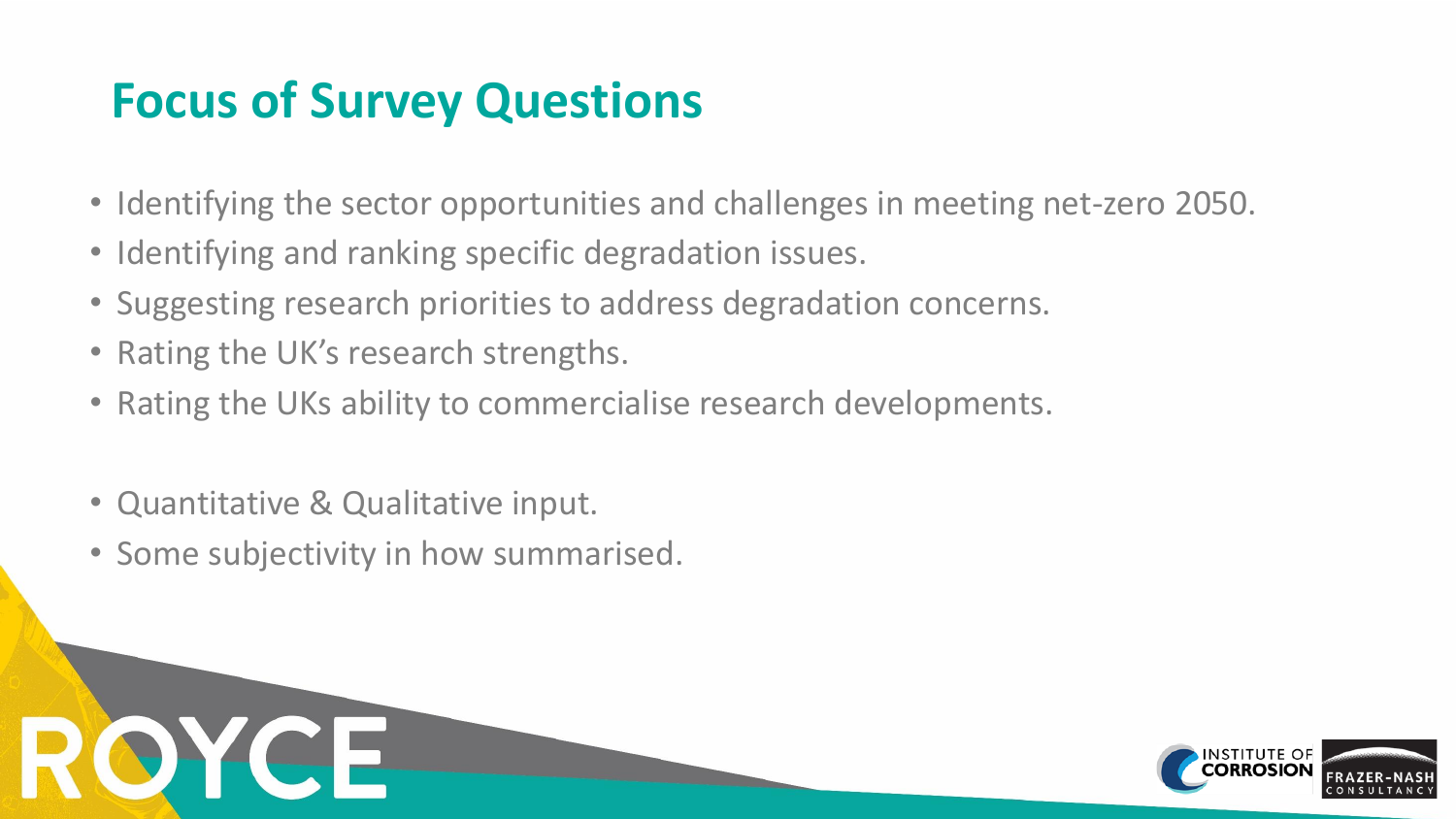### **Focus of Survey Questions**

- Identifying the sector opportunities and challenges in meeting net-zero 2050.
- Identifying and ranking specific degradation issues.
- Suggesting research priorities to address degradation concerns.
- Rating the UK's research strengths.
- Rating the UKs ability to commercialise research developments.
- Quantitative & Qualitative input.

**OYCE** 

• Some subjectivity in how summarised.

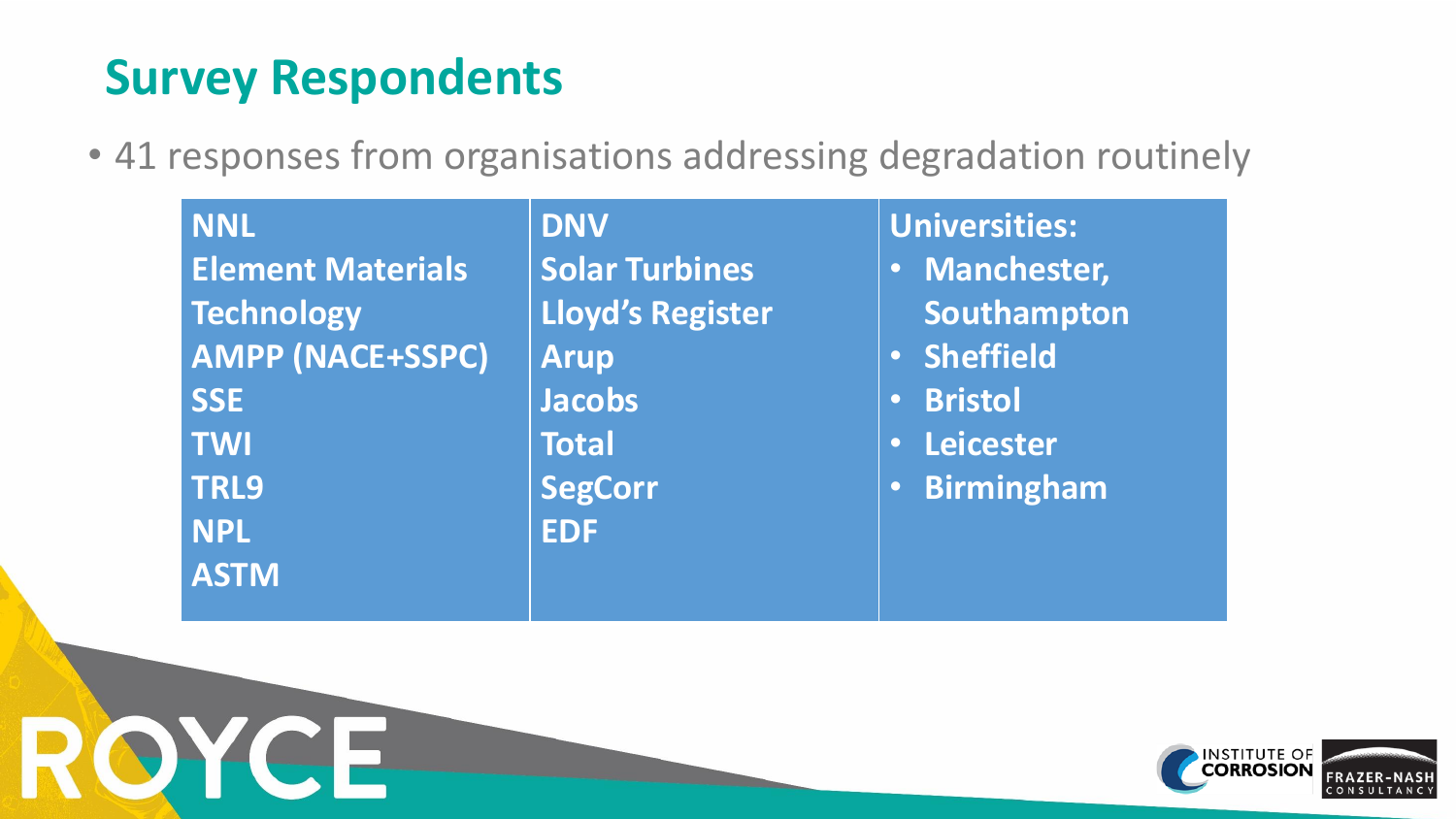### **Survey Respondents**

ROYCE

• 41 responses from organisations addressing degradation routinely

| <b>NNL</b>               | <b>DNV</b>              | <b>Universities:</b>              |
|--------------------------|-------------------------|-----------------------------------|
| <b>Element Materials</b> | <b>Solar Turbines</b>   | <b>Manchester,</b><br>$\bullet$ . |
| <b>Technology</b>        | <b>Lloyd's Register</b> | Southampton                       |
| AMPP (NACE+SSPC)         | <b>Arup</b>             | · Sheffield                       |
| <b>SSE</b>               | <b>Jacobs</b>           | <b>Bristol</b><br><b>O</b>        |
| <b>TWI</b>               | <b>Total</b>            | Leicester<br><b>O</b>             |
| <b>TRL9</b>              | <b>SegCorr</b>          | <b>Birmingham</b><br><b>OV</b>    |
| <b>NPL</b>               | <b>EDF</b>              |                                   |
| <b>ASTM</b>              |                         |                                   |

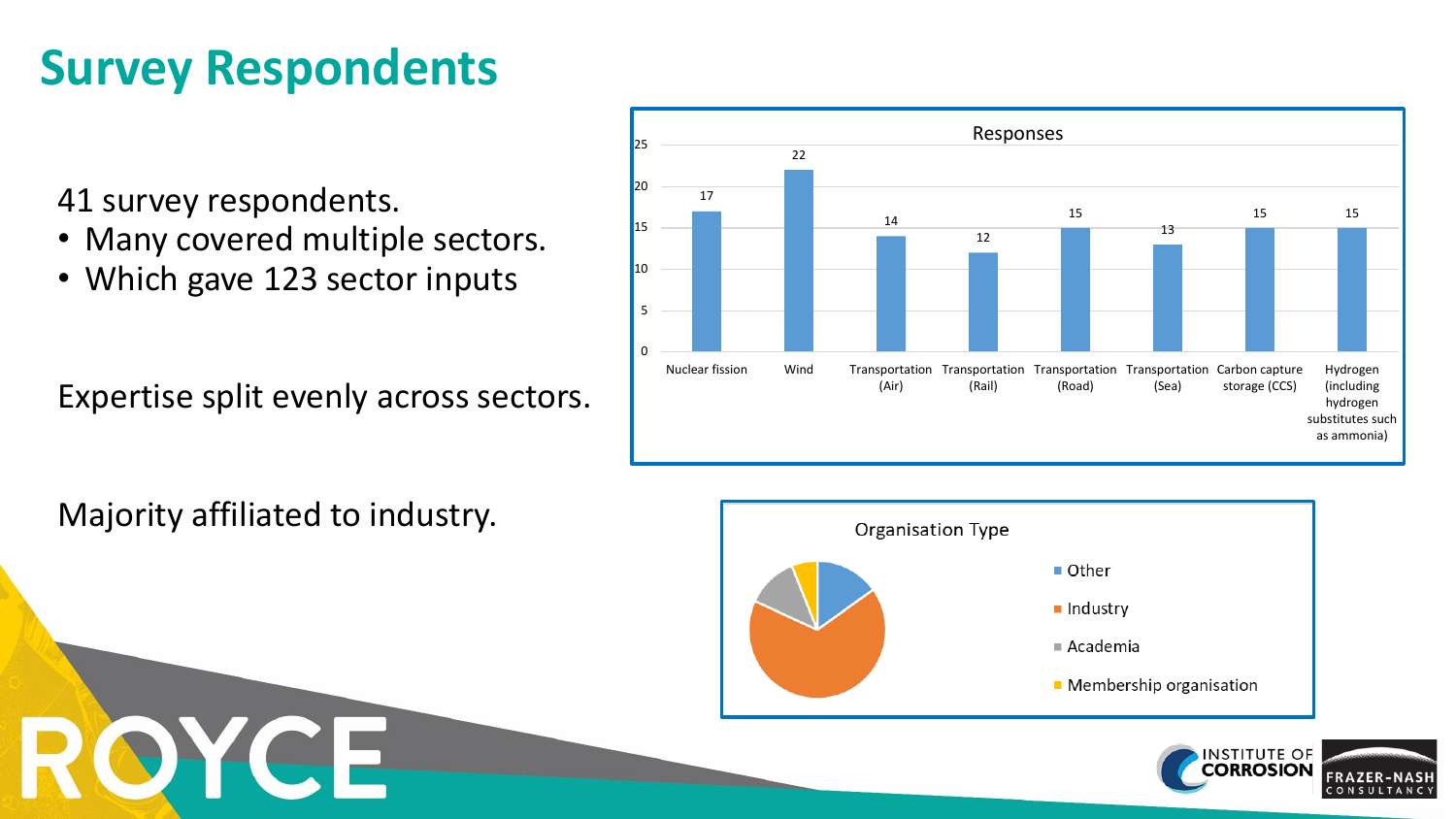### **Survey Respondents**

41 survey respondents.

- Many covered multiple sectors.
- Which gave 123 sector inputs

Expertise split evenly across sectors.

17 22 14 12 15 13 15 15 0 5 10 15 20 25 Nuclear fission Wind Transportation Transportation Transportation Transportation (Air) (Rail) (Road) (Sea) Carbon capture storage (CCS) Hydrogen (including hydrogen substitutes such as ammonia) Responses

Majority affiliated to industry.





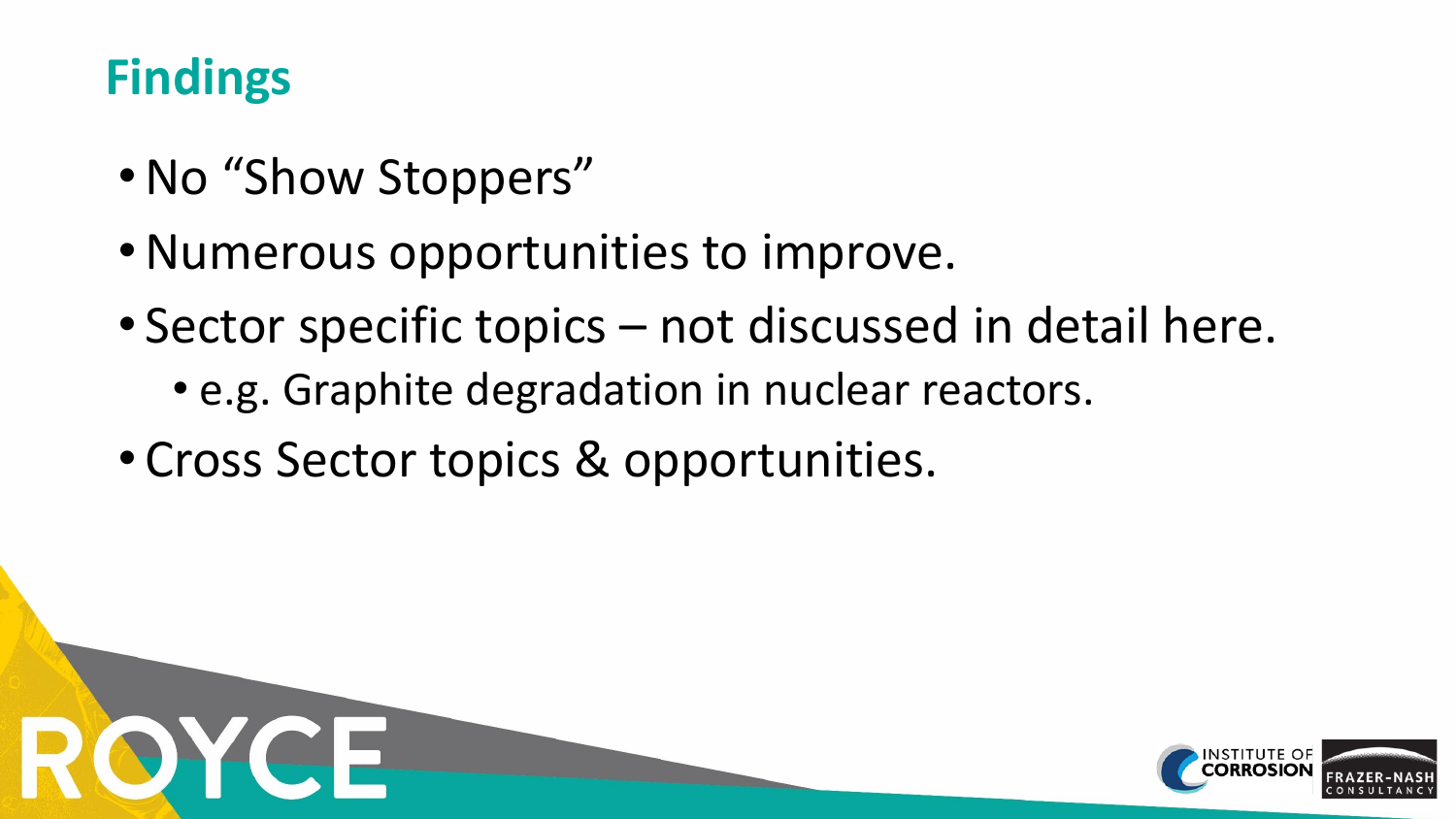### **Findings**

- No "Show Stoppers"
- •Numerous opportunities to improve.
- Sector specific topics not discussed in detail here.
	- e.g. Graphite degradation in nuclear reactors.
- Cross Sector topics & opportunities.

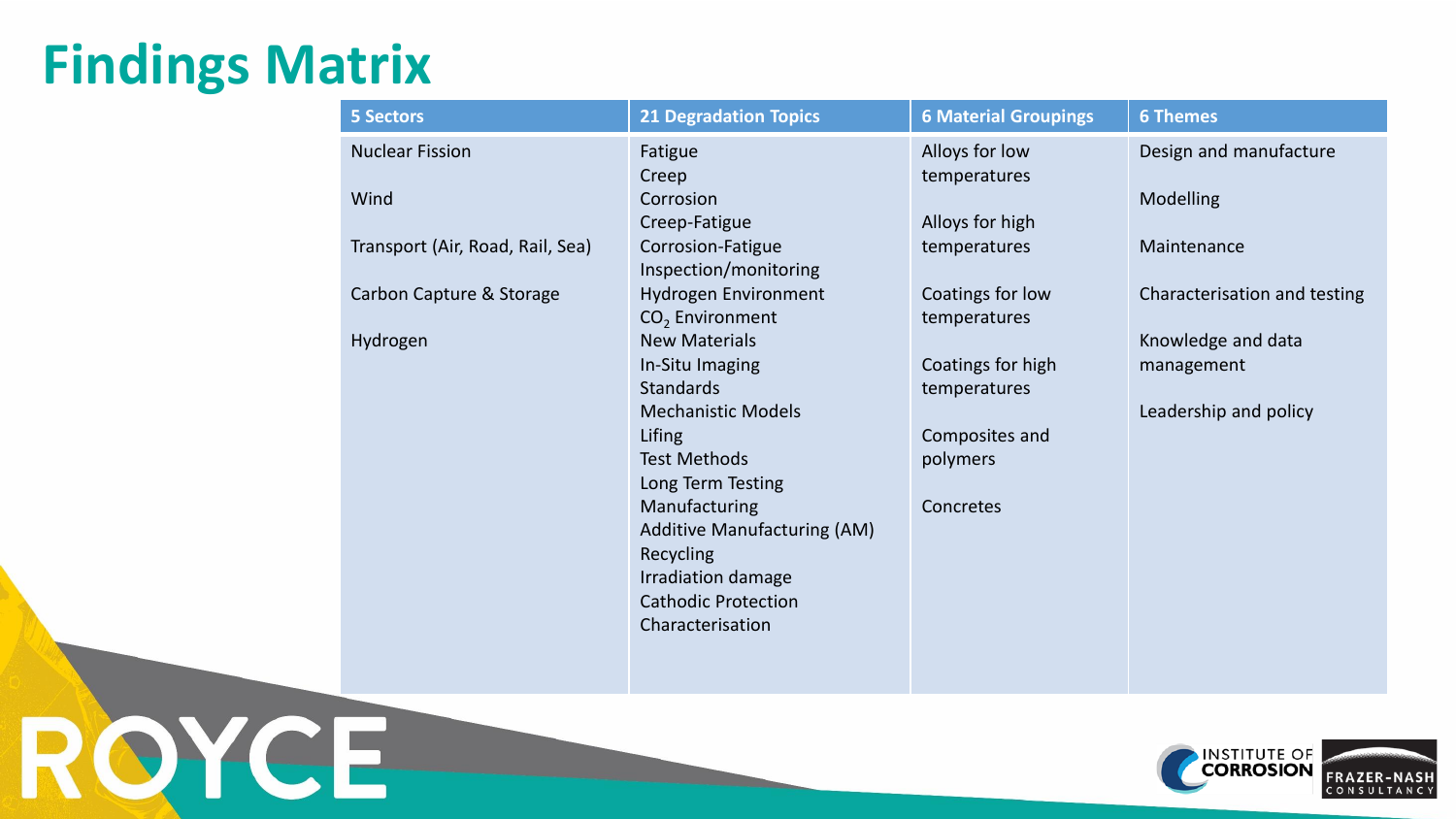## **Findings Matrix**

RQYCE

| <b>5 Sectors</b>                 | <b>21 Degradation Topics</b>       | <b>6 Material Groupings</b> | <b>6 Themes</b>              |
|----------------------------------|------------------------------------|-----------------------------|------------------------------|
| <b>Nuclear Fission</b>           | Fatigue                            | Alloys for low              | Design and manufacture       |
|                                  | Creep                              | temperatures                |                              |
| Wind                             | Corrosion                          |                             | <b>Modelling</b>             |
|                                  | Creep-Fatigue                      | Alloys for high             |                              |
| Transport (Air, Road, Rail, Sea) | Corrosion-Fatigue                  | temperatures                | Maintenance                  |
|                                  | Inspection/monitoring              |                             |                              |
| Carbon Capture & Storage         | Hydrogen Environment               | Coatings for low            | Characterisation and testing |
|                                  | CO <sub>2</sub> Environment        | temperatures                |                              |
| Hydrogen                         | <b>New Materials</b>               |                             | Knowledge and data           |
|                                  | In-Situ Imaging                    | Coatings for high           | management                   |
|                                  | <b>Standards</b>                   | temperatures                |                              |
|                                  | <b>Mechanistic Models</b>          |                             | Leadership and policy        |
|                                  | Lifing                             | Composites and              |                              |
|                                  | <b>Test Methods</b>                | polymers                    |                              |
|                                  | Long Term Testing                  |                             |                              |
|                                  | Manufacturing                      | Concretes                   |                              |
|                                  | <b>Additive Manufacturing (AM)</b> |                             |                              |
|                                  | Recycling                          |                             |                              |
|                                  | Irradiation damage                 |                             |                              |
|                                  | <b>Cathodic Protection</b>         |                             |                              |
|                                  | Characterisation                   |                             |                              |
|                                  |                                    |                             |                              |

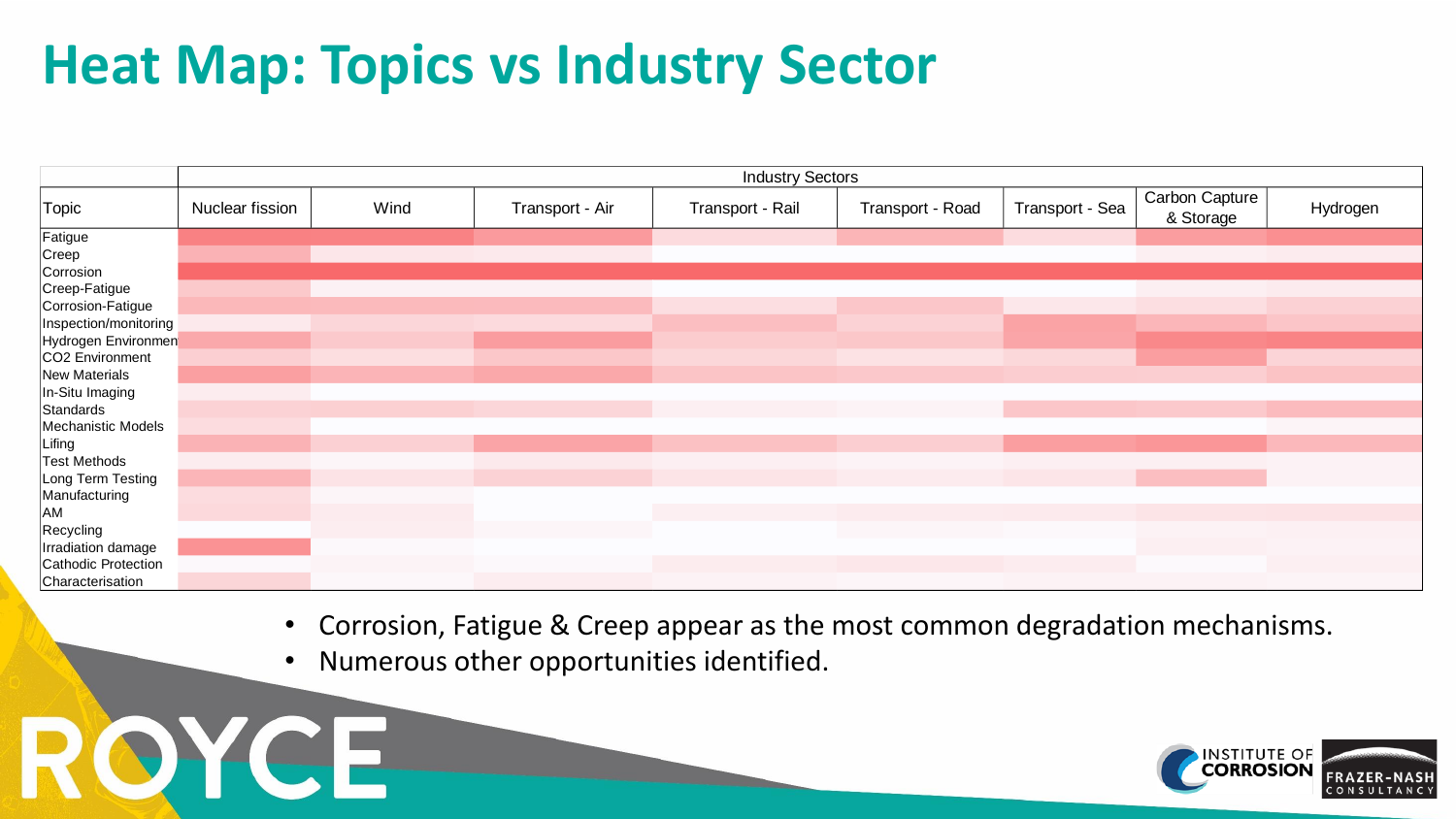## **Heat Map: Topics vs Industry Sector**

|                       | <b>Industry Sectors</b> |      |                 |                  |                  |                 |                             |          |  |
|-----------------------|-------------------------|------|-----------------|------------------|------------------|-----------------|-----------------------------|----------|--|
| Topic                 | Nuclear fission         | Wind | Transport - Air | Transport - Rail | Transport - Road | Transport - Sea | Carbon Capture<br>& Storage | Hydrogen |  |
| Fatigue               |                         |      |                 |                  |                  |                 |                             |          |  |
| Creep                 |                         |      |                 |                  |                  |                 |                             |          |  |
| Corrosion             |                         |      |                 |                  |                  |                 |                             |          |  |
| Creep-Fatigue         |                         |      |                 |                  |                  |                 |                             |          |  |
| Corrosion-Fatigue     |                         |      |                 |                  |                  |                 |                             |          |  |
| Inspection/monitoring |                         |      |                 |                  |                  |                 |                             |          |  |
| Hydrogen Environmen   |                         |      |                 |                  |                  |                 |                             |          |  |
| CO2 Environment       |                         |      |                 |                  |                  |                 |                             |          |  |
| New Materials         |                         |      |                 |                  |                  |                 |                             |          |  |
| In-Situ Imaging       |                         |      |                 |                  |                  |                 |                             |          |  |
| Standards             |                         |      |                 |                  |                  |                 |                             |          |  |
| Mechanistic Models    |                         |      |                 |                  |                  |                 |                             |          |  |
| Lifing                |                         |      |                 |                  |                  |                 |                             |          |  |
| <b>Test Methods</b>   |                         |      |                 |                  |                  |                 |                             |          |  |
| Long Term Testing     |                         |      |                 |                  |                  |                 |                             |          |  |
| Manufacturing         |                         |      |                 |                  |                  |                 |                             |          |  |
| AM                    |                         |      |                 |                  |                  |                 |                             |          |  |
| Recycling             |                         |      |                 |                  |                  |                 |                             |          |  |
| Irradiation damage    |                         |      |                 |                  |                  |                 |                             |          |  |
| Cathodic Protection   |                         |      |                 |                  |                  |                 |                             |          |  |
| Characterisation      |                         |      |                 |                  |                  |                 |                             |          |  |

• Corrosion, Fatigue & Creep appear as the most common degradation mechanisms.

• Numerous other opportunities identified.

ROYCE

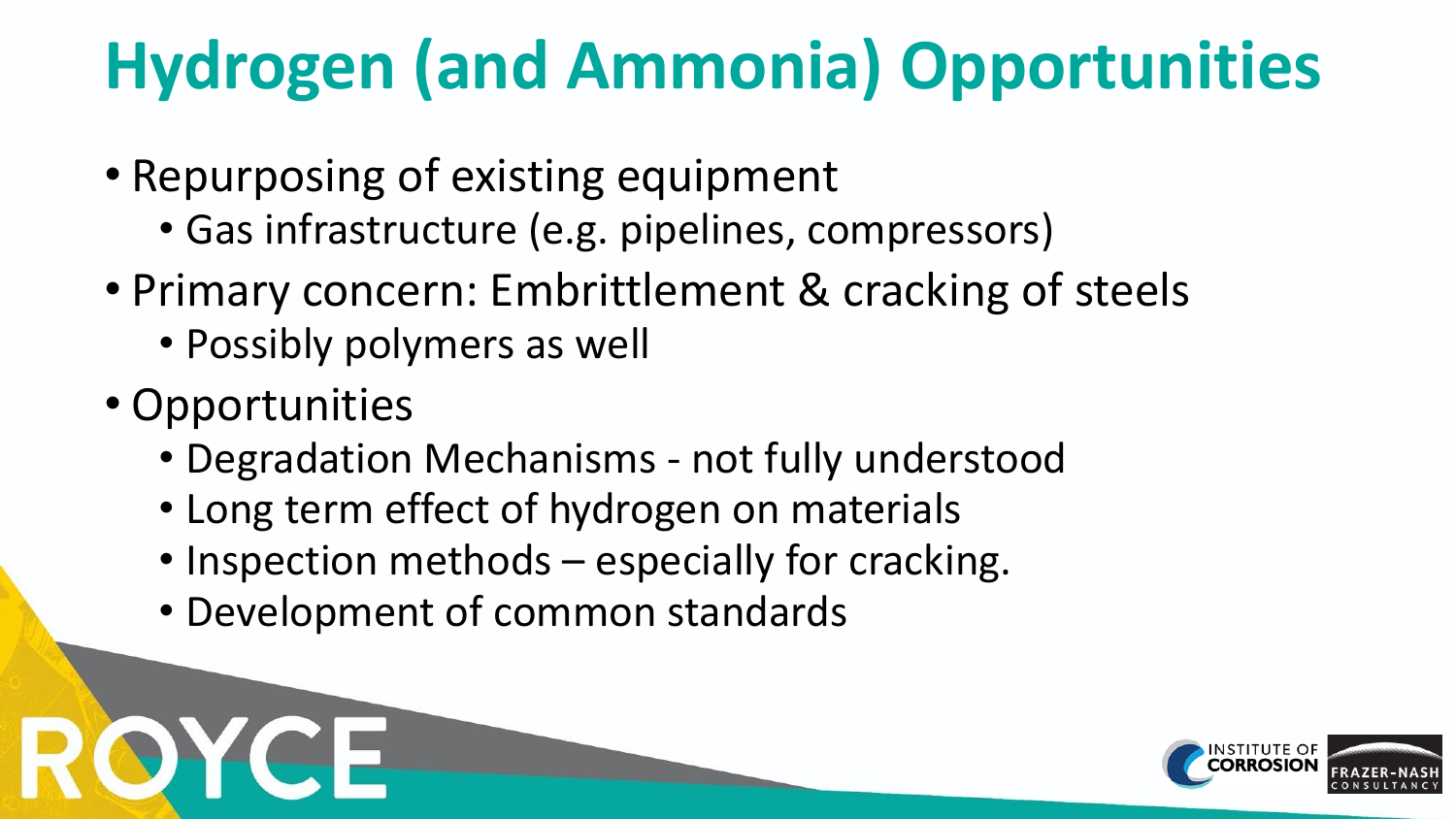# **Hydrogen (and Ammonia) Opportunities**

- Repurposing of existing equipment
	- Gas infrastructure (e.g. pipelines, compressors)
- Primary concern: Embrittlement & cracking of steels
	- Possibly polymers as well
- Opportunities
	- Degradation Mechanisms not fully understood
	- Long term effect of hydrogen on materials
	- Inspection methods especially for cracking.
	- Development of common standards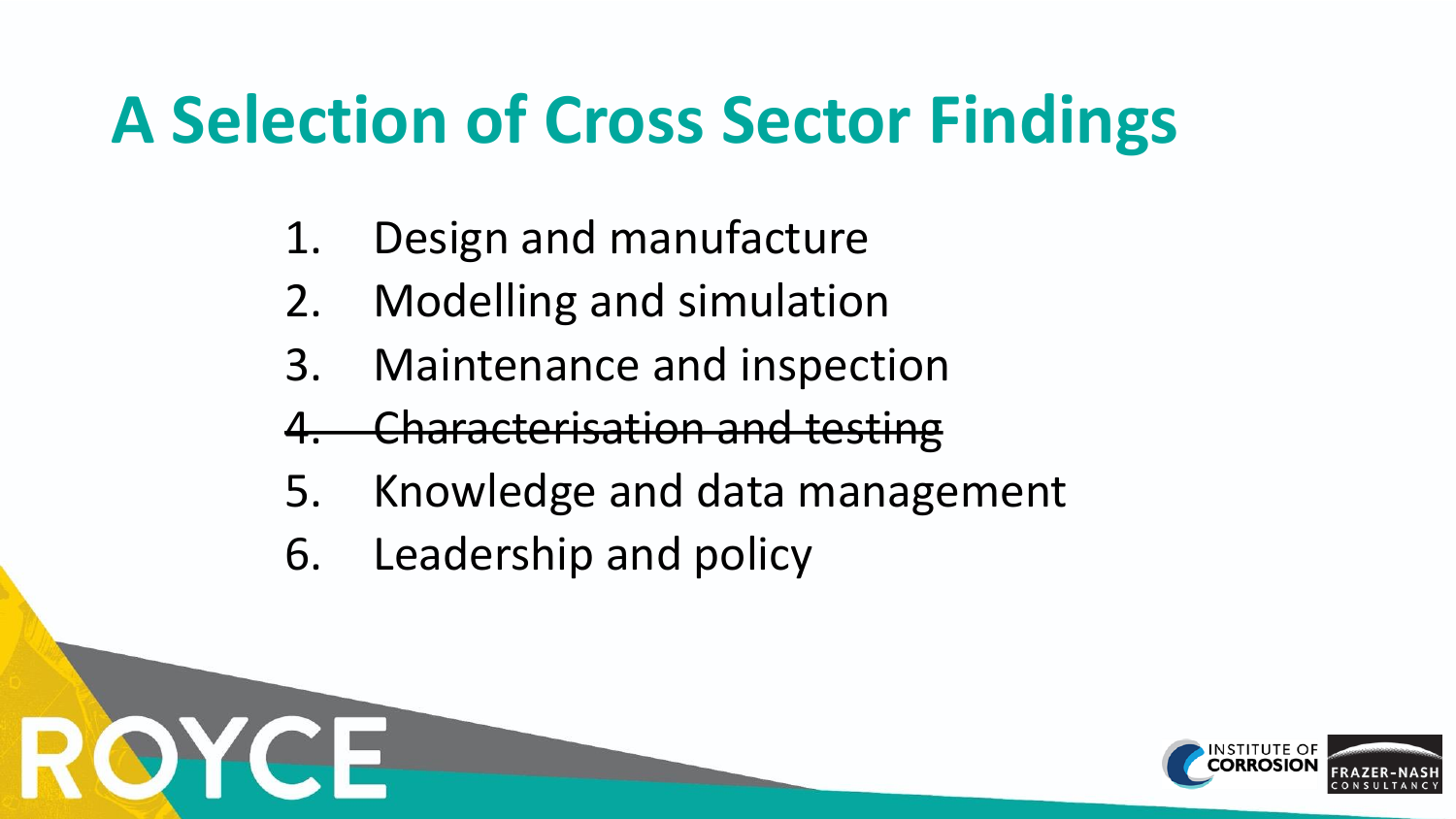# **A Selection of Cross Sector Findings**

- 1. Design and manufacture
- 2. Modelling and simulation
- 3. Maintenance and inspection
- 4. Characterisation and testing
- 5. Knowledge and data management
- 6. Leadership and policy

OYCE

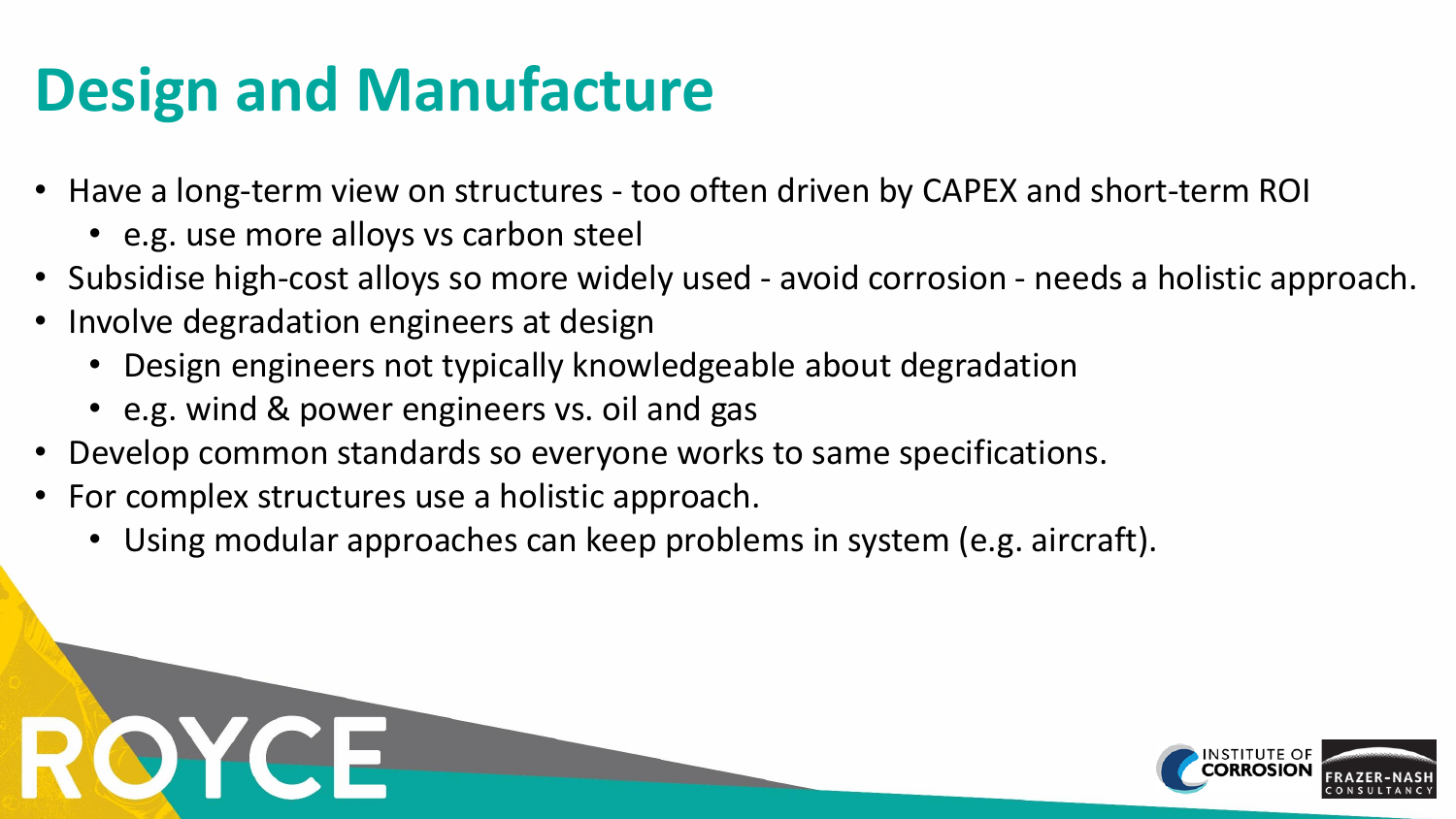# **Design and Manufacture**

- Have a long-term view on structures too often driven by CAPEX and short-term ROI
	- e.g. use more alloys vs carbon steel
- Subsidise high-cost alloys so more widely used avoid corrosion needs a holistic approach.
- Involve degradation engineers at design
	- Design engineers not typically knowledgeable about degradation
	- e.g. wind & power engineers vs. oil and gas
- Develop common standards so everyone works to same specifications.
- For complex structures use a holistic approach.
	- Using modular approaches can keep problems in system (e.g. aircraft).

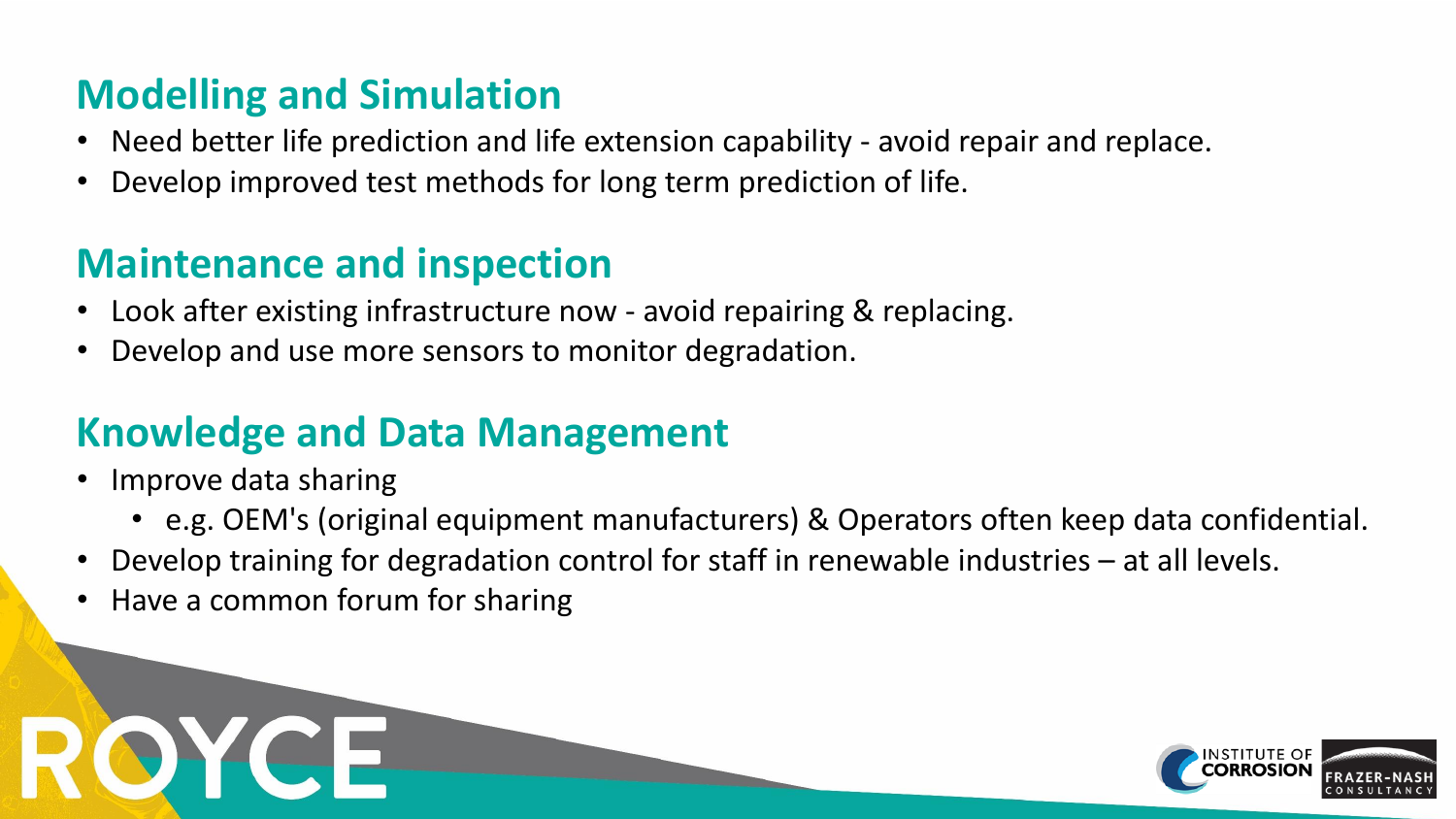#### **Modelling and Simulation**

- Need better life prediction and life extension capability avoid repair and replace.
- Develop improved test methods for long term prediction of life.

#### **Maintenance and inspection**

- Look after existing infrastructure now avoid repairing & replacing.
- Develop and use more sensors to monitor degradation.

#### **Knowledge and Data Management**

- Improve data sharing
	- e.g. OEM's (original equipment manufacturers) & Operators often keep data confidential.
- Develop training for degradation control for staff in renewable industries at all levels.
- Have a common forum for sharing

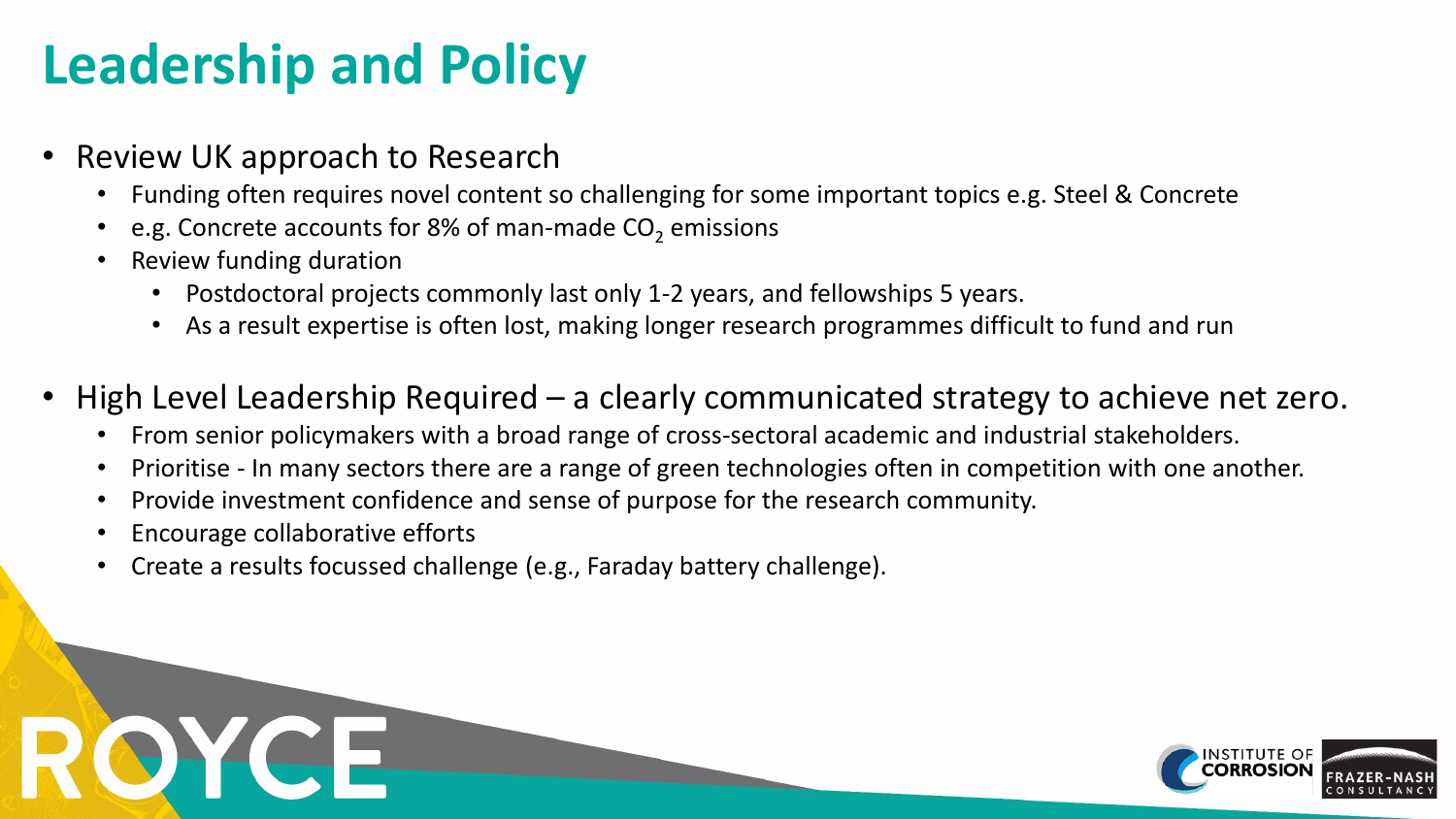## **Leadership and Policy**

- Review UK approach to Research
	- Funding often requires novel content so challenging for some important topics e.g. Steel & Concrete
	- e.g. Concrete accounts for 8% of man-made  $CO<sub>2</sub>$  emissions
	- Review funding duration
		- Postdoctoral projects commonly last only 1-2 years, and fellowships 5 years.
		- As a result expertise is often lost, making longer research programmes difficult to fund and run
- High Level Leadership Required a clearly communicated strategy to achieve net zero.
	- From senior policymakers with a broad range of cross-sectoral academic and industrial stakeholders.
	- Prioritise In many sectors there are a range of green technologies often in competition with one another.
	- Provide investment confidence and sense of purpose for the research community.
	- Encourage collaborative efforts
	- Create a results focussed challenge (e.g., Faraday battery challenge).